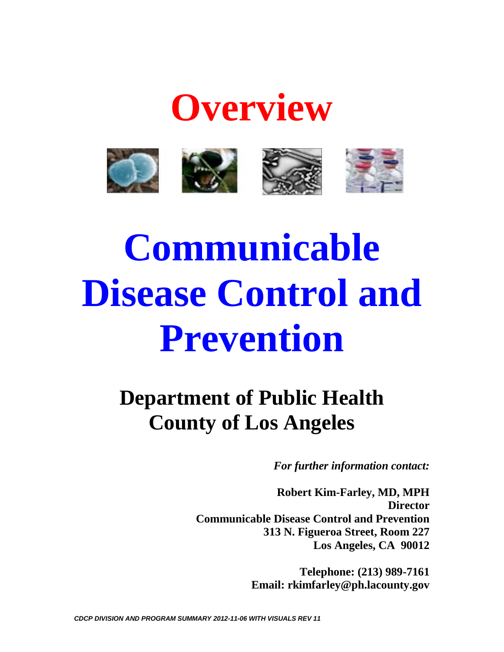

**Overview**

# **Communicable Disease Control and Prevention**

# **Department of Public Health County of Los Angeles**

*For further information contact:*

**Robert Kim-Farley, MD, MPH Director Communicable Disease Control and Prevention 313 N. Figueroa Street, Room 227 Los Angeles, CA 90012**

> **Telephone: (213) 989-7161 Email: rkimfarley@ph.lacounty.gov**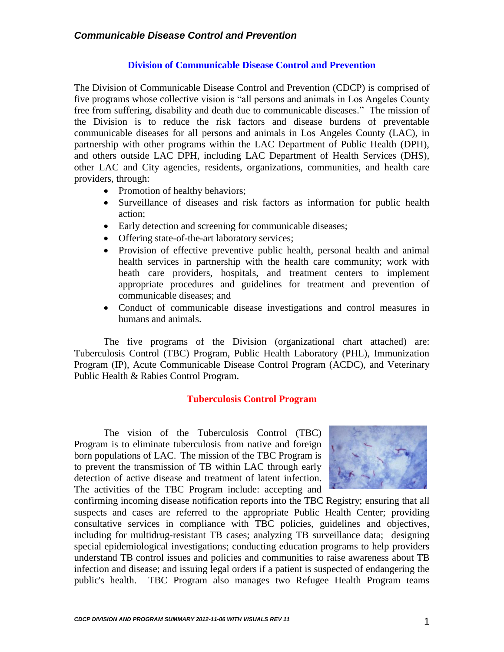#### **Division of Communicable Disease Control and Prevention**

The Division of Communicable Disease Control and Prevention (CDCP) is comprised of five programs whose collective vision is "all persons and animals in Los Angeles County free from suffering, disability and death due to communicable diseases." The mission of the Division is to reduce the risk factors and disease burdens of preventable communicable diseases for all persons and animals in Los Angeles County (LAC), in partnership with other programs within the LAC Department of Public Health (DPH), and others outside LAC DPH, including LAC Department of Health Services (DHS), other LAC and City agencies, residents, organizations, communities, and health care providers, through:

- Promotion of healthy behaviors;
- Surveillance of diseases and risk factors as information for public health action;
- Early detection and screening for communicable diseases;
- Offering state-of-the-art laboratory services;
- Provision of effective preventive public health, personal health and animal health services in partnership with the health care community; work with heath care providers, hospitals, and treatment centers to implement appropriate procedures and guidelines for treatment and prevention of communicable diseases; and
- Conduct of communicable disease investigations and control measures in humans and animals.

The five programs of the Division (organizational chart attached) are: Tuberculosis Control (TBC) Program, Public Health Laboratory (PHL), Immunization Program (IP), Acute Communicable Disease Control Program (ACDC), and Veterinary Public Health & Rabies Control Program.

#### **Tuberculosis Control Program**

The vision of the Tuberculosis Control (TBC) Program is to eliminate tuberculosis from native and foreign born populations of LAC. The mission of the TBC Program is to prevent the transmission of TB within LAC through early detection of active disease and treatment of latent infection. The activities of the TBC Program include: accepting and



confirming incoming disease notification reports into the TBC Registry; ensuring that all suspects and cases are referred to the appropriate Public Health Center; providing consultative services in compliance with TBC policies, guidelines and objectives, including for multidrug-resistant TB cases; analyzing TB surveillance data; designing special epidemiological investigations; conducting education programs to help providers understand TB control issues and policies and communities to raise awareness about TB infection and disease; and issuing legal orders if a patient is suspected of endangering the public's health. TBC Program also manages two Refugee Health Program teams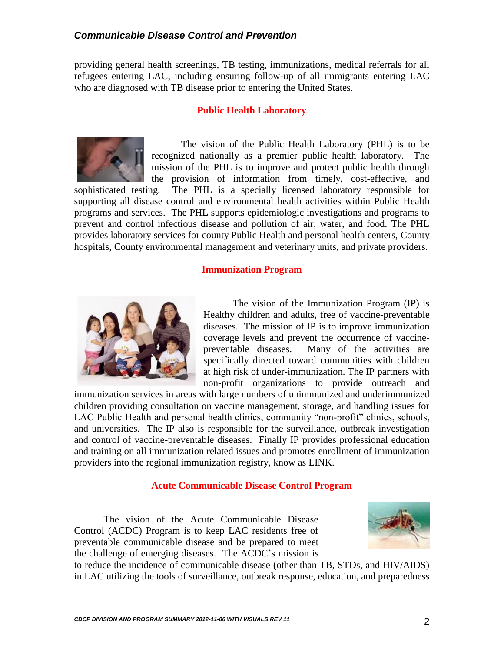#### *Communicable Disease Control and Prevention*

providing general health screenings, TB testing, immunizations, medical referrals for all refugees entering LAC, including ensuring follow-up of all immigrants entering LAC who are diagnosed with TB disease prior to entering the United States.

#### **Public Health Laboratory**



The vision of the Public Health Laboratory (PHL) is to be recognized nationally as a premier public health laboratory. The mission of the PHL is to improve and protect public health through the provision of information from timely, cost-effective, and

sophisticated testing. The PHL is a specially licensed laboratory responsible for supporting all disease control and environmental health activities within Public Health programs and services. The PHL supports epidemiologic investigations and programs to prevent and control infectious disease and pollution of air, water, and food. The PHL provides laboratory services for county Public Health and personal health centers, County hospitals, County environmental management and veterinary units, and private providers.

#### **Immunization Program**



The vision of the Immunization Program (IP) is Healthy children and adults, free of vaccine-preventable diseases. The mission of IP is to improve immunization coverage levels and prevent the occurrence of vaccinepreventable diseases. Many of the activities are specifically directed toward communities with children at high risk of under-immunization. The IP partners with non-profit organizations to provide outreach and

immunization services in areas with large numbers of unimmunized and underimmunized children providing consultation on vaccine management, storage, and handling issues for LAC Public Health and personal health clinics, community "non-profit" clinics, schools, and universities. The IP also is responsible for the surveillance, outbreak investigation and control of vaccine-preventable diseases. Finally IP provides professional education and training on all immunization related issues and promotes enrollment of immunization providers into the regional immunization registry, know as LINK.

#### **Acute Communicable Disease Control Program**

The vision of the Acute Communicable Disease Control (ACDC) Program is to keep LAC residents free of preventable communicable disease and be prepared to meet the challenge of emerging diseases. The ACDC's mission is



to reduce the incidence of communicable disease (other than TB, STDs, and HIV/AIDS) in LAC utilizing the tools of surveillance, outbreak response, education, and preparedness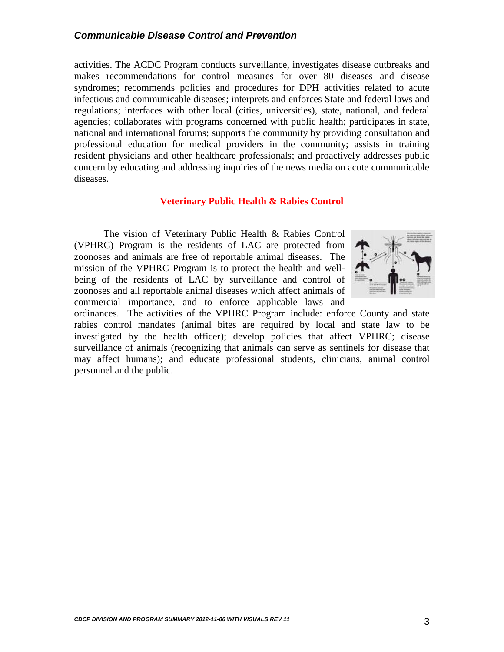#### *Communicable Disease Control and Prevention*

activities. The ACDC Program conducts surveillance, investigates disease outbreaks and makes recommendations for control measures for over 80 diseases and disease syndromes; recommends policies and procedures for DPH activities related to acute infectious and communicable diseases; interprets and enforces State and federal laws and regulations; interfaces with other local (cities, universities), state, national, and federal agencies; collaborates with programs concerned with public health; participates in state, national and international forums; supports the community by providing consultation and professional education for medical providers in the community; assists in training resident physicians and other healthcare professionals; and proactively addresses public concern by educating and addressing inquiries of the news media on acute communicable diseases.

#### **Veterinary Public Health & Rabies Control**

The vision of Veterinary Public Health & Rabies Control (VPHRC) Program is the residents of LAC are protected from zoonoses and animals are free of reportable animal diseases. The mission of the VPHRC Program is to protect the health and wellbeing of the residents of LAC by surveillance and control of zoonoses and all reportable animal diseases which affect animals of commercial importance, and to enforce applicable laws and



ordinances. The activities of the VPHRC Program include: enforce County and state rabies control mandates (animal bites are required by local and state law to be investigated by the health officer); develop policies that affect VPHRC; disease surveillance of animals (recognizing that animals can serve as sentinels for disease that may affect humans); and educate professional students, clinicians, animal control personnel and the public.